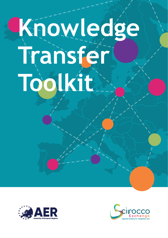# **Knowledge Transfer Toolkit**



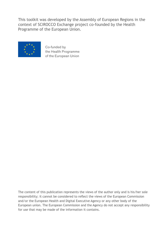This toolkit was developed by the Assembly of European Regions in the context of SCIROCCO Exchange project co-founded by the Health Programme of the European Union.



Co-funded by the Health Programme of the European Union

The content of this publication represents the views of the author only and is his/her sole responsibility; it cannot be considered to reflect the views of the European Commission and/or the European Health and Digital Executive Agency or any other body of the European union. The European Commission and the Agency do not accept any responsibility for use that may be made of the information it contains.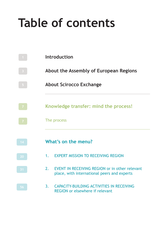# **Table of contents**

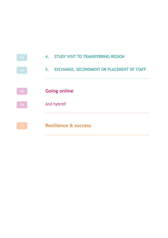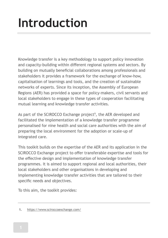# **Introduction**

Knowledge transfer is a key methodology to support policy innovation and capacity-building within different regional systems and sectors. By building on mutually beneficial collaborations among professionals and stakeholders it provides a framework for the exchange of know-how, capitalisation of learnings and tools, and the creation of sustainable networks of experts. Since its inception, the Assembly of European Regions (AER) has provided a space for policy-makers, civil servants and local stakeholders to engage in these types of cooperation facilitating mutual learning and knowledge transfer activities.

As part of the SCIROCCO Exchange project**<sup>1</sup>** , the AER developed and facilitated the implementation of a knowledge transfer programme personalised for nine health and social care authorities with the aim of preparing the local environment for the adoption or scale-up of integrated care.

This toolkit builds on the expertise of the AER and its application in the SCIROCCO Exchange project to offer transferable expertise and tools for the effective design and implementation of knowledge transfer programmes. It is aimed to support regional and local authorities, their local stakeholders and other organisations in developing and implementing knowledge transfer activities that are tailored to their specific needs and objectives.

To this aim, the toolkit provides:

<sup>1.</sup> https://www.sciroccoexchange.com/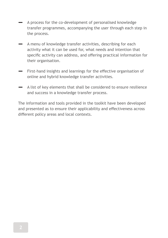- **‒** A process for the co-development of personalised knowledge transfer programmes, accompanying the user through each step in the process.
- **‒** A menu of knowledge transfer activities, describing for each activity what it can be used for, what needs and intention that specific activity can address, and offering practical information for their organisation.
- **‒** First-hand insights and learnings for the effective organisation of online and hybrid knowledge transfer activities.
- **‒** A list of key elements that shall be considered to ensure resilience and success in a knowledge transfer process.

The information and tools provided in the toolkit have been developed and presented as to ensure their applicability and effectiveness across different policy areas and local contexts.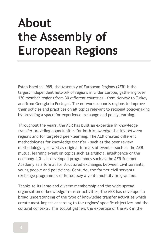# **About the Assembly of European Regions**

Established in 1985, the Assembly of European Regions (AER) is the largest independent network of regions in wider Europe, gathering over 130 member regions from 30 different countries – from Norway to Turkey and from Georgia to Portugal. The network supports regions to improve their policies and practices on all topics relevant to regional policymaking by providing a space for experience exchange and policy learning.

Throughout the years, the AER has built an expertise in knowledge transfer providing opportunities for both knowledge sharing between regions and for targeted peer-learning. The AER created different methodologies for knowledge transfer - such as the peer review methodology -, as well as original formats of events - such as the AER mutual learning event on topics such as artificial intelligence or the economy 4.0 -. It developed programmes such as the AER Summer Academy as a format for structured exchanges between civil servants, young people and politicians; Centurio, the former civil servants exchange programme; or Eurodissey a youth mobility programme.

Thanks to its large and diverse membership and the wide-spread organisation of knowledge transfer activities, the AER has developed a broad understanding of the type of knowledge transfer activities which create most impact according to the regions' specific objectives and the cultural contexts. This toolkit gathers the expertise of the AER in the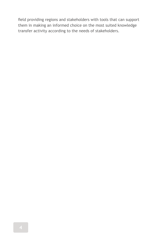field providing regions and stakeholders with tools that can support them in making an informed choice on the most suited knowledge transfer activity according to the needs of stakeholders.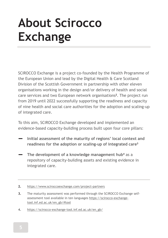# **About Scirocco Exchange**

SCIROCCO Exchange is a project co-founded by the Health Programme of the European Union and lead by the Digital Health & Care Scotland Division of the Scottish Government in partnership with other eleven organisations working in the design and/or delivery of health and social care services and two European network organisations**<sup>2</sup>** . The project run from 2019 until 2022 successfully supporting the readiness and capacity of nine health and social care authorities for the adoption and scaling-up of integrated care.

To this aim, SCIROCCO Exchange developed and implemented an evidence-based capacity-building process built upon four core pillars:

- **‒ Initial assessment of the maturity of regions' local context and readiness for the adoption or scaling-up of integrated care<sup>3</sup>**
- **‒ The development of a knowledge management hub<sup>4</sup>** as a repository of capacity-building assets and existing evidence in integrated care.

- **3.** The maturity assessment was performed through the SCIROCCO Exchange selfassessment tool available in ten languages https://scirocco-exchangetool.inf.ed.ac.uk/en\_gb/#tool
- **4.** https://scirocco-exchange-tool.inf.ed.ac.uk/en\_gb/

**<sup>2.</sup>** https://www.sciroccoexchange.com/project-partners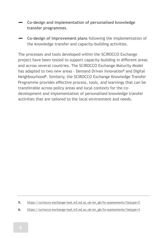- **‒ Co-design and implementation of personalised knowledge transfer programmes**.
- **‒ Co-design of improvement plans** following the implementation of the knowledge transfer and capacity-building activities.

The processes and tools developed within the SCIROCCO Exchange project have been tested to support capacity-building in different areas and across several countries. The SCIROCCO Exchange Maturity Model has adapted to two new areas – Demand Driven Innovation**<sup>5</sup>** and Digital Neighbourhood**<sup>6</sup>** . Similarly, the SCIROCCO Exchange Knowledge Transfer Programme provides effective process, tools, and learnings that can be transferable across policy areas and local contexts for the codevelopment and implementation of personalised knowledge transfer activities that are tailored to the local environment and needs.

**5.** https://scirocco-exchange-tool.inf.ed.ac.uk/en\_gb/hs-assessments/?astype=2

**6.** https://scirocco-exchange-tool.inf.ed.ac.uk/en\_gb/hs-assessments/?astype=3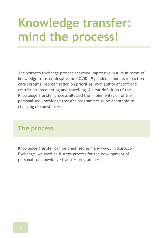# **Knowledge transfer: mind the process!**

The Scirocco Exchange project achieved impressive results in terms of knowledge transfer, despite the COVID-19 pandemic and its impact on care systems, reorganisation on priorities, availability of staff and restrictions on meeting and travelling. A clear definition of the Knowledge Transfer process allowed the implementation of the personalised knowledge transfer programmes to be adaptable to changing circumstances.

# **The process**

Knowledge Transfer can be organised in many ways. in Scirocco Exchange, we used an 8-steps process for the development of personalised knowledge transfer programmes: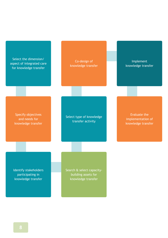Select the dimension/ aspect of integrated care for knowledge transfer

Co-design of knowledge transfer

Implement knowledge transfer

Specify objectives and needs for knowledge transfer

Select type of knowledge transfer activity

Evaluate the implementation of knowledge transfer

Identify stakeholders participating in knowledge transfer

Search & select capacitybuilding assets for knowledge transfer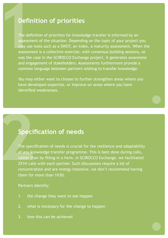# **Definition of priorities**

The definition of priorities for knowledge transfer is informed by an assessment of the situation. Depending on the topic of your project you may use tools such as a SWOT, an index, a maturity assessment. When the assessment is a collective exercise, with consensus building sessions, as was the case in the SCIROCCO Exchange project, it generates awareness and engagement of stakeholders. Assessments furthermore provide a common language between partners wishing to transfer knowledge. **12**<br> **12**<br>
The defin<br>
The defin<br>
assessme<br>
may use<br>
assessme<br>
was the o **.**

You may either want to choose to further strengthen areas where you have developed expertise, or improve on areas where you have identified weaknesses.

## **Specification of needs**

The specification of needs is crucial for the resilience and adaptability  $\sqrt{ }$  of any knowledge transfer programme. This is best done during calls, rather than by filling in a form. In SCIROCCO Exchange, we facilitated 2X1H calls with each partner. Such discussions require a lot of concentration and are energy intensive, we don't recommend having them for more than 1H30. **2**

**.**

#### Partners identify:

- 1. the change they want to see happen
- 2. what is necessary for the change to happen
- 3. how this can be achieved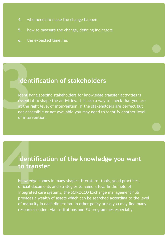- 4. who needs to make the change happen
- 5. how to measure the change, defining indicators
- 6. the expected timeline.

## **Identification of stakeholders**

Identifying specific stakeholders for knowledge transfer activities is essential to shape the activities. It is also a way to check that you are at the right level of intervention: if the stakeholders are perfect but not accessible or not available you may need to identify another level of intervention. **3**

**.**

**.**

# **Identification of the knowledge you want to transfer**

Knowledge comes in many shapes: literature, tools, good practices, official documents and strategies to name a few. In the field of integrated care systems, the SCIROCCO Exchange management hub provides a wealth of assets which can be searched according to the level of maturity in each dimension. In other policy areas you may find many resources online, via institutions and EU programmes especially **14 April 14 April 14 April 14 April 14 April 14 April 14 April 14 April 14 April 14 April 14 April 14 April 14 April 14 April 14 April 14 April 14 April 14 April 14 April 14 April 14 April 14 April 14 April 14 April 14 Ap**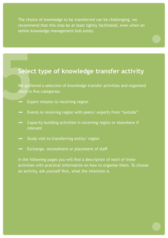The choice of knowledge to be transferred can be challenging, we recommend that this step be at least lightly facilitated, even when an online knowledge management hub exists.

**.**

**.**

# **Select type of knowledge transfer activity**

We gathered a selection of knowledge transfer activities and organised them in five categories: Selec<br>
We gather<br>
them in the Exp<br>
- Exp<br>
- Eve

- **‒** Expert mission to receiving region
- **‒** Events in receiving region with peers/ experts from "outside"
- **‒** Capacity-building activities in receiving region or elsewhere if relevant
- **‒** Study visit to transferring entity/ region
- **‒** Exchange, secondment or placement of staff

In the following pages you will find a description of each of these activities with practical information on how to organise them. To choose an activity, ask yourself first, what the intention is.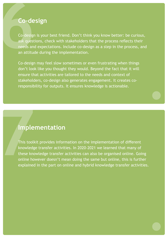# **Co-design**

Co-design is your best friend. Don't think you know better: be curious, ask questions, check with stakeholders that the process reflects their needs and expectations. Include co-design as a step in the process, and an attitude during the implementation. **6**

Co-design may feel slow sometimes or even frustrating when things don't look like you thought they would. Beyond the fact that it will ensure that activities are tailored to the needs and context of stakeholders, co-design also generates engagement. It creates coresponsibility for outputs. It ensures knowledge is actionable.

## **Implementation**

This toolkit provides information on the implementation of different knowledge transfer activities. In 2020-2021 we learned that many of these knowledge transfer activities can also be organised online. Going online however doesn't mean doing the same but online, this is further explained in the part on online and hybrid knowledge transfer activities. **1474**<br> **1474**<br>
This tooll<br>
knowledge<br>
these know<br>
online hoexplained

**.**

**.**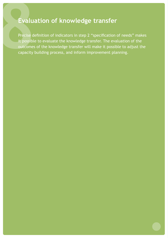# **Evaluation of knowledge transfer**

Precise definition of indicators in step 2 "specification of needs" makes it possible to evaluate the knowledge transfer. The evaluation of the outcomes of the knowledge transfer will make it possible to adjust the capacity building process, and inform improvement planning. Evalue<br>
Precise de<br>
it possible<br>
outcomes<br>
capacity

**.**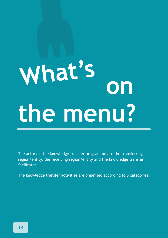# **What's on the menu? What's**

The actors in the knowledge transfer programme are the transferring region/entity, the receiving region/entity and the knowledge transfer facilitator.

The knowledge transfer activities are organised according to 5 categories: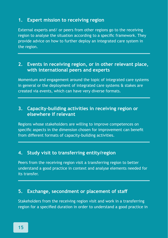#### **1. Expert mission to receiving region**

External experts and/ or peers from other regions go to the receiving region to analyse the situation according to a specific framework. They provide advice on how to further deploy an integrated care system in the region.

#### **2. Events in receiving region, or in other relevant place, with international peers and experts**

Momentum and engagement around the topic of integrated care systems in general or the deployment of integrated care systems & stakes are created via events, which can have very diverse formats.

### **3. Capacity-building activities in receiving region or elsewhere if relevant**

Regions whose stakeholders are willing to improve competences on specific aspects in the dimension chosen for improvement can benefit from different formats of capacity-building activities.

#### **4. Study visit to transferring entity/region**

Peers from the receiving region visit a transferring region to better understand a good practice in context and analyse elements needed for its transfer.

#### **5. Exchange, secondment or placement of staff**

Stakeholders from the receiving region visit and work in a transferring region for a specified duration in order to understand a good practice in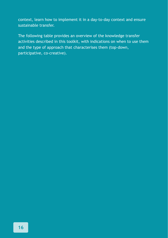context, learn how to implement it in a day-to-day context and ensure sustainable transfer.

The following table provides an overview of the knowledge transfer activities described in this toolkit, with indications on when to use them and the type of approach that characterises them (top-down, participative, co-creative).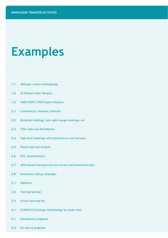# **Examples**

**1.1** AER peer review methodology

**5.2** EU calls & programs

| 1.2 | S3 Platform Peer Reviews                                   |
|-----|------------------------------------------------------------|
| 1.3 | <b>TAIEX PEER 2 PEER Expert Missions</b>                   |
| 2.1 | Conferences, thematic seminars                             |
| 2.2 | Breakfast briefings, late night lounge meetings, etc       |
| 2.3 | <b>TEDx talks and PechaKucha</b>                           |
| 2.4 | High level meetings with politicians or civil servants     |
| 2.5 | World Cafe and variants                                    |
| 2.6 | OST, unconferences                                         |
| 2.7 | AER mutual learning event on current and transversal topic |
| 2.8 | Awareness raising campaigns                                |
| 3.1 | Webinars                                                   |
| 3.2 | <b>Training Seminar</b>                                    |
| 3.3 | <b>Action Learning Set</b>                                 |
| 4.1 | SCIROCCO Exchange methodology for study visits             |
| 5.1 | Secondment programs                                        |
|     |                                                            |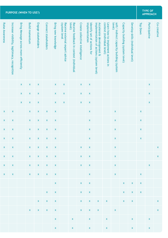| Raise Awareness    | Increase visibility, legitimacy, recognition | Bring Message across more efficiently | <b>Build momentum</b> | Engage stakeholders | Connect stakeholders  | <b>Bring new knowledge</b> | Receive external expert advice<br>(system level | level)<br>Receive feedback in context (individual | Create collective intelligence | implementation<br>Identify set of actions for | implementation of actions (system level)<br>Accelerate development & | context (individual level)<br>Learn how to implement actions in | soft/ indirect capacity building (system<br>level) | Capacity building (system level) | Develop skills (individual level) | <b>Top Down</b>    | Participative      | Co-creative        |
|--------------------|----------------------------------------------|---------------------------------------|-----------------------|---------------------|-----------------------|----------------------------|-------------------------------------------------|---------------------------------------------------|--------------------------------|-----------------------------------------------|----------------------------------------------------------------------|-----------------------------------------------------------------|----------------------------------------------------|----------------------------------|-----------------------------------|--------------------|--------------------|--------------------|
|                    |                                              | X                                     | X                     | X                   |                       | $\pmb{\mathsf{x}}$         | X                                               |                                                   | $\pmb{\mathsf{X}}$             | X                                             |                                                                      |                                                                 |                                                    |                                  |                                   |                    | $\pmb{\mathsf{x}}$ |                    |
|                    |                                              | X                                     | X                     | X                   |                       | X                          | X                                               |                                                   | $\pmb{\mathsf{x}}$             | X                                             |                                                                      |                                                                 |                                                    |                                  |                                   |                    | X                  |                    |
|                    |                                              | X                                     | X                     | X                   |                       | X                          | X                                               |                                                   | $\pmb{\mathsf{x}}$             | X                                             |                                                                      |                                                                 |                                                    |                                  |                                   |                    | $\pmb{\mathsf{x}}$ |                    |
| X                  | X                                            |                                       | X                     | X                   | X                     | X                          |                                                 |                                                   |                                | X                                             |                                                                      |                                                                 | X                                                  |                                  |                                   | $\pmb{\mathsf{x}}$ |                    |                    |
| X                  | X                                            |                                       | X                     | X                   | X                     | X                          |                                                 |                                                   |                                | X                                             |                                                                      |                                                                 | X                                                  |                                  |                                   | $\pmb{\times}$     |                    |                    |
| X                  | $\pmb{\mathsf{x}}$                           |                                       | X                     | X                   | X                     | X                          |                                                 |                                                   |                                | X                                             |                                                                      |                                                                 | X                                                  |                                  |                                   | X                  |                    |                    |
| X                  | X                                            |                                       | X                     | X                   | $\pmb{\mathsf{x}}$    | X                          |                                                 |                                                   |                                | X                                             |                                                                      |                                                                 | $\pmb{\mathsf{x}}$                                 |                                  |                                   | $\pmb{\mathsf{x}}$ |                    |                    |
| $\pmb{\mathsf{x}}$ | X                                            |                                       | X                     | X                   | X                     | X                          |                                                 |                                                   | $\pmb{\mathsf{X}}$             | X                                             |                                                                      |                                                                 | X                                                  |                                  |                                   |                    |                    | $\pmb{\mathsf{x}}$ |
| $\pmb{\mathsf{x}}$ | $\pmb{\mathsf{x}}$                           |                                       | X                     | X                   | X                     | X                          |                                                 |                                                   | $\pmb{\mathsf{x}}$             | X                                             |                                                                      |                                                                 | $\pmb{\mathsf{x}}$                                 |                                  |                                   |                    |                    | $\pmb{\times}$     |
| x                  | $\pmb{\mathsf{x}}$                           |                                       | X                     | X                   | X                     | X                          |                                                 |                                                   | $\pmb{\mathsf{x}}$             | X                                             |                                                                      |                                                                 | X                                                  |                                  |                                   |                    | X                  |                    |
| X                  | X                                            |                                       | X                     | X                   | $\pmb{\times}$        | X                          |                                                 |                                                   |                                | X                                             |                                                                      |                                                                 | X                                                  |                                  |                                   | $\pmb{\times}$     |                    |                    |
|                    |                                              |                                       |                       |                     |                       | X                          |                                                 |                                                   | $\pmb{\mathsf{x}}$             | X                                             |                                                                      |                                                                 |                                                    | X                                | X                                 | X                  |                    |                    |
|                    |                                              |                                       |                       |                     | X                     | X                          |                                                 |                                                   | $\pmb{\mathsf{x}}$             | X                                             |                                                                      |                                                                 |                                                    | X                                | X                                 | $\pmb{\mathsf{x}}$ |                    |                    |
|                    |                                              |                                       |                       |                     | $X$ $X$ $X$           |                            |                                                 |                                                   |                                |                                               |                                                                      |                                                                 |                                                    |                                  |                                   |                    |                    | $\mathsf X$        |
|                    |                                              |                                       |                       |                     | $x \times x \times x$ |                            |                                                 |                                                   |                                | $X$ $X$ $X$                                   |                                                                      | $\mathbf{X}$ and $\mathbf{X}$                                   |                                                    |                                  |                                   |                    |                    | $\mathbf{x}$       |
|                    |                                              |                                       |                       |                     |                       | $\mathsf X$                |                                                 | $\mathsf X$                                       |                                | $\mathbf{x}$                                  |                                                                      | $\mathbf{x}$                                                    |                                                    |                                  | $\mathbf{x}$                      |                    | $\pmb{\mathsf{X}}$ |                    |
|                    |                                              |                                       |                       |                     |                       | $\mathsf{X}$               |                                                 | $\mathbf{x}$ and $\mathbf{x}$                     |                                | $\mathbf{X}$ and $\mathbf{X}$                 |                                                                      | $\mathbf{x}$                                                    |                                                    |                                  | $\mathbf{x}$                      |                    | $\mathbf{X}$       |                    |

**PURPOSE (WHEN TO USE?)** 

# **APPROACH**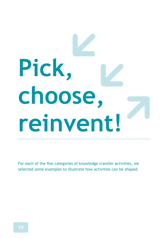# **Pick, choose, reinvent!**

For each of the five categories of knowledge transfer activities, we selected some examples to illustrate how activities can be shaped.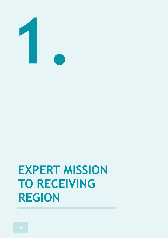

# **EXPERT MISSION TO RECEIVING REGION**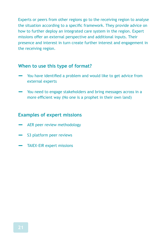Experts or peers from other regions go to the receiving region to analyse the situation according to a specific framework. They provide advice on how to further deploy an integrated care system in the region. Expert missions offer an external perspective and additional inputs. Their presence and interest in turn create further interest and engagement in the receiving region.

#### **When to use this type of format?**

- **‒** You have identified a problem and would like to get advice from external experts
- **‒** You need to engage stakeholders and bring messages across in a more efficient way (No one is a prophet in their own land)

#### **Examples of expert missions**

- **‒** AER peer review methodology
- **‒** S3 platform peer reviews
- **‒** TAIEX-EIR expert missions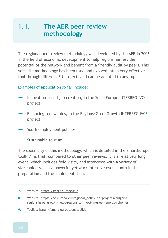# **1.1. The AER peer review methodology**

The regional peer review methodology was developed by the AER in 2006 in the field of economic development to help regions harness the potential of the network and benefit from a friendly audit by peers. This versatile methodology has been used and evolved into a very effective tool through different EU projects and can be adapted to any topic.

#### Examples of application so far include:

- **‒** Innovation-based job creation, in the SmartEurope INTERREG IVC**<sup>7</sup>** project.
- **‒** Financing renewables, in the Regions4GreenGrowth INTERREG IVC**<sup>8</sup>** project
- Youth employment policies
- **‒** Sustainable tourism

The specificity of this methodology, which is detailed in the SmartEurope toolkit**<sup>9</sup>** , is that, compared to other peer reviews, it is a relatively long event, which includes field visits, and interviews with a variety of stakeholders. It is a powerful yet work intensive event, both in the preparation and the implementation.

- **8.** Website: https://ec.europa.eu/regional\_policy/en/projects/bulgaria/ regions4greengrowth-helps-regions-to-invest-in-green-energy-schemes
- **9.** Toolkit: https://smart-europe.eu/toolkit

**<sup>7.</sup>** Website: https://smart-europe.eu/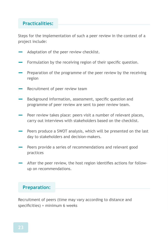### **Practicalities:**

Steps for the implementation of such a peer review in the context of a project include:

- **‒** Adaptation of the peer review checklist.
- Formulation by the receiving region of their specific question.
- Preparation of the programme of the peer review by the receiving region
- **‒** Recruitment of peer review team
- **‒** Background information, assessment, specific question and programme of peer review are sent to peer review team.
- Peer review takes place: peers visit a number of relevant places, carry out interviews with stakeholders based on the checklist.
- Peers produce a SWOT analysis, which will be presented on the last day to stakeholders and decision-makers.
- Peers provide a series of recommendations and relevant good practices
- **‒** After the peer review, the host region identifies actions for followup on recommendations.

#### **Preparation:**

Recruitment of peers (time may vary according to distance and specificities) + minimum 6 weeks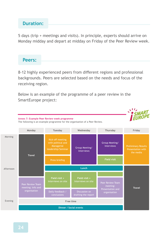### **Duration:**

5 days (trip + meetings and visits). In principle, experts should arrive on Monday midday and depart at midday on Friday of the Peer Review week.



8-12 highly experienced peers from different regions and professional backgrounds. Peers are selected based on the needs and focus of the receiving region.

Below is an example of the programme of a peer review in the SmartEurope project:

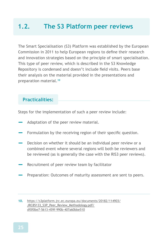# **1.2. The S3 Platform peer reviews**

The Smart Specialisation (S3) Platform was established by the European Commission in 2011 to help European regions to define their research and innovation strategies based on the principle of smart specialisation. This type of peer review, which is described in the S3 Knowledge Repository is condensed and doesn't include field visits. Peers base their analysis on the material provided in the presentations and preparation material.**<sup>10</sup>**

## **Practicalities:**

Steps for the implementation of such a peer review include:

- **‒** Adaptation of the peer review material.
- **‒** Formulation by the receiving region of their specific question.
- **‒** Decision on whether it should be an individual peer review or a combined event where several regions will both be reviewers and be reviewed (as is generally the case with the RIS3 peer reviews).
- **‒** Recruitment of peer review team by facilitator
- Preparation: Outcomes of maturity assessment are sent to peers.

**<sup>10.</sup>** https://s3platform.jrc.ec.europa.eu/documents/20182/114903/ JRC85133\_S3P\_Peer\_Review\_Methodology.pdf/ df0f0be7-5613-459f-990b-407a60bbe510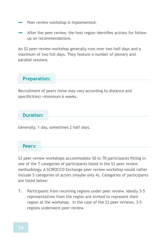- **‒** Peer review workshop is implemented.
- **‒** After the peer review, the host region identifies actions for followup on recommendations.

An S3 peer-review workshop generally runs over two half-days and a maximum of two full days. They feature a number of plenary and parallel sessions.

#### **Preparation:**

Recruitment of peers (time may vary according to distance and specificities) +minimum 6 weeks.

## **Duration:**

Generally, 1 day, sometimes 2 half days.

#### **Peers:**

S3 peer review workshops accommodate 50 to 70 participants fitting in one of the 7 categories of participants listed in the S3 peer review methodology. A SCIROCCO Exchange peer review workshop would rather include 5 categories of actors (maybe only 4). Categories of participants are listed below:

1. Participants from receiving regions under peer review. Ideally 3-5 representatives from the region are invited to represent their region at the workshop. In the case of the S3 peer reviews, 3-5 regions underwent peer-review.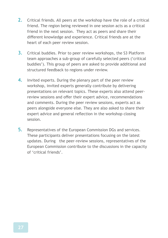- 2. Critical friends. All peers at the workshop have the role of a critical friend. The region being reviewed in one session acts as a critical friend in the next session. They act as peers and share their different knowledge and experience. Critical friends are at the heart of each peer review session.
- 3. Critical buddies. Prior to peer review workshops, the S3 Platform team approaches a sub-group of carefully selected peers ('critical buddies'). This group of peers are asked to provide additional and structured feedback to regions under review.
- 4. Invited experts. During the plenary part of the peer review workshop, invited experts generally contribute by delivering presentations on relevant topics. These experts also attend peerreview sessions and offer their expert advice, recommendations and comments. During the peer review sessions, experts act as peers alongside everyone else. They are also asked to share their expert advice and general reflection in the workshop closing session.
- 5. Representatives of the European Commission DGs and services. These participants deliver presentations focusing on the latest updates. During the peer-review sessions, representatives of the European Commission contribute to the discussions in the capacity of 'critical friends'.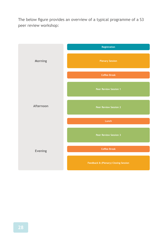The below figure provides an overview of a typical programme of a S3 peer review workshop:

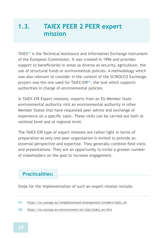# **1.3. TAIEX PEER 2 PEER expert mission**

TAIEX**<sup>11</sup>** is the Technical Assistance and Information Exchange instrument of the European Commission. It was created in 1996 and provides support to beneficiaries in areas as diverse as security, agriculture, the use of structural funds or environmental policies. A methodology which was also relevant to consider in the context of the SCIROCCO Exchange, project was the one used for TAIEX-EIR**<sup>12</sup>**, the tool which supports authorities in charge of environmental policies.

In TAIEX-EIR Expert missions, experts from an EU Member State environmental authority visit an environmental authority in other Member States that have requested peer advice and exchange of experience on a specific topic. These visits can be carried out both at national level and at regional level.

The TAIEX-EIR type of expert missions are rather light in terms of preparation as only one peer organisation is invited to provide an external perspective and expertise. They generally combine field visits and presentations. They are an opportunity to invite a greater number of stakeholders on the spot to increase engagement.

## **Practicalities:**

Steps for the implementation of such an expert mission include:

**12.** https://ec.europa.eu/environment/eir/p2p/index\_en.htm

**<sup>11.</sup>** https://ec.europa.eu/neighbourhood-enlargement/tenders/taiex\_en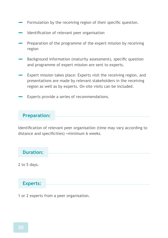- **‒** Formulation by the receiving region of their specific question.
- **‒** Identification of relevant peer organisation
- Preparation of the programme of the expert mission by receiving region
- Background information (maturity assessment), specific question and programme of expert mission are sent to experts.
- Expert mission takes place: Experts visit the receiving region, and presentations are made by relevant stakeholders in the receiving region as well as by experts. On-site visits can be included.
- Experts provide a series of recommendations.

#### **Preparation:**

Identification of relevant peer organisation (time may vary according to distance and specificities) +minimum 6 weeks.

**Duration:**

2 to 5 days.

#### **Experts:**

1 or 2 experts from a peer organisation.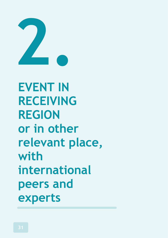

**EVENT IN RECEIVING REGION or in other relevant place, with international peers and experts**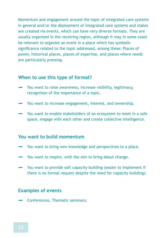Momentum and engagement around the topic of integrated care systems in general and/or the deployment of integrated care systems and stakes are created via events, which can have very diverse formats. They are usually organised in the receiving region, although it may in some cases be relevant to organise an event in a place which has symbolic significance related to the topic addressed, among these: Places of power, historical places, places of expertise, and places where needs are particularly pressing.

#### **When to use this type of format?**

- You want to raise awareness, increase visibility, legitimacy, recognition of the importance of a topic.
- **‒** You want to increase engagement, interest, and ownership.
- You want to enable stakeholders of an ecosystem to meet in a safe space, engage with each other and create collective intelligence.

#### **You want to build momentum**

- **‒** You want to bring new knowledge and perspectives to a place.
- **‒** You want to inspire, with the aim to bring about change.
- **‒** You want to provide soft capacity building (easier to implement if there is no formal request despite the need for capacity building).

#### **Examples of events**

**‒** Conferences, Thematic seminars;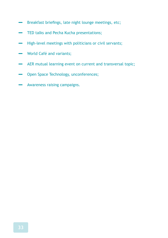- **‒** Breakfast briefings, late night lounge meetings, etc;
- **‒** TED talks and Pecha Kucha presentations;
- **‒** High-level meetings with politicians or civil servants;
- **‒** World Café and variants;
- **‒** AER mutual learning event on current and transversal topic;
- **‒** Open Space Technology, unconferences;
- **‒** Awareness raising campaigns.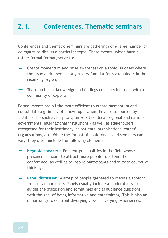# **2.1. Conferences, Thematic seminars**

Conferences and thematic seminars are gatherings of a large number of delegates to discuss a particular topic. These events, which have a rather formal format, serve to:

- **‒** Create momentum and raise awareness on a topic, in cases where the issue addressed is not yet very familiar for stakeholders in the receiving region;
- **‒** Share technical knowledge and findings on a specific topic with a community of experts.

Formal events are all the more efficient to create momentum and consolidate legitimacy of a new topic when they are supported by institutions - such as hospitals, universities, local regional and national governments, international institutions - as well as stakeholders recognised for their legitimacy, as patients' organisations, carers' organisations, etc. While the format of conferences and seminars can vary, they often include the following elements:

- **Keynote speakers:** Eminent personalities in the field whose presence is meant to attract more people to attend the conference, as well as to inspire participants and initiate collective thinking.
- **Panel discussion:** A group of people gathered to discuss a topic in front of an audience. Panels usually include a moderator who guides the discussion and sometimes elicits audience questions, with the goal of being informative and entertaining. This is also an opportunity to confront diverging views or varying experiences.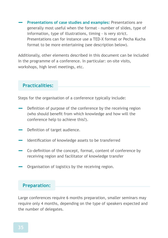**‒ Presentations of case studies and examples:** Presentations are generally most useful when the format - number of slides, type of information, type of illustrations, timing - is very strict. Presentations can for instance use a TED-X format or Pecha Kucha format to be more entertaining (see description below).

Additionally, other elements described in this document can be included in the programme of a conference. In particular: on-site visits, workshops, high level meetings, etc.

## **Practicalities:**

Steps for the organisation of a conference typically include:

- **‒** Definition of purpose of the conference by the receiving region (who should benefit from which knowledge and how will the conference help to achieve this?).
- **‒** Definition of target audience.
- **‒** Identification of knowledge assets to be transferred
- **‒** Co-definition of the concept, format, content of conference by receiving region and facilitator of knowledge transfer
- **‒** Organisation of logistics by the receiving region.

## **Preparation:**

Large conferences require 6 months preparation, smaller seminars may require only 4 months, depending on the type of speakers expected and the number of delegates.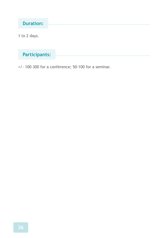# **Duration:**

1 to 2 days.

# **Participants:**

+/- 100-300 for a conference; 50-100 for a seminar.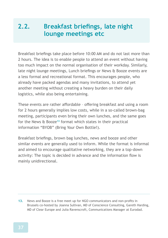# **2.2. Breakfast briefings, late night lounge meetings etc**

Breakfast briefings take place before 10:00 AM and do not last more than 2 hours. The idea is to enable people to attend an event without having too much impact on the normal organisation of their workday. Similarly, late night lounge meetings, Lunch briefings or News & Booze events are a less formal and recreational format. This encourages people, who already have packed agendas and many invitations, to attend yet another meeting without creating a heavy burden on their daily logistics, while also being entertaining.

These events are rather affordable – offering breakfast and using a room for 2 hours generally implies low costs, while in a so-called brown-bag meeting, participants even bring their own lunches, and the same goes for the News & Booze**<sup>13</sup>** format which states in their practical information "BYOB" (Bring Your Own Bottle!).

Breakfast briefings, brown bag lunches, news and booze and other similar events are generally used to inform. While the format is informal and aimed to encourage qualitative networking, they are a top-down activity: The topic is decided in advance and the information flow is mainly unidirectional.

**13.** News and Booze is a free meet up for NGO communicators and non-profits in Brussels co-hosted by Joanna Sullivan, MD of Conscience Consulting, Gareth Harding, MD of Clear Europe and Julia Ravenscroft, Communications Manager at Eurodad.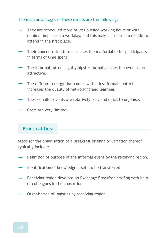#### The main advantages of these events are the following:

- They are scheduled more or less outside working hours or with minimal impact on a workday, and this makes it easier to decide to attend in the first place.
- **‒** Their concentrated format makes them affordable for participants in terms of time spent.
- The informal, often slightly hipster format, makes the event more attractive.
- The different energy that comes with a less formal context increases the quality of networking and learning.
- These smaller events are relatively easy and quick to organise.
- Costs are very limited.

# **Practicalities:**

Steps for the organisation of a Breakfast briefing or variation thereof, typically include:

- **‒** Definition of purpose of the informal event by the receiving region.
- **‒** Identification of knowledge assets to be transferred
- **‒** Receiving region develops an Exchange Breakfast briefing with help of colleagues in the consortium
- Organisation of logistics by receiving region.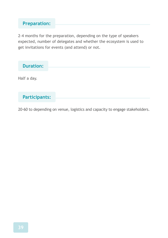# **Preparation:**

2-4 months for the preparation, depending on the type of speakers expected, number of delegates and whether the ecosystem is used to get invitations for events (and attend) or not.

| <b>Duration:</b>     |
|----------------------|
| Half a day.          |
| <b>Participants:</b> |

20-60 to depending on venue, logistics and capacity to engage stakeholders.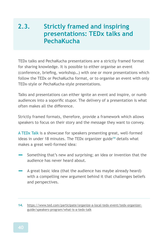# **2.3. Strictly framed and inspiring presentations: TEDx talks and PechaKucha**

TEDx talks and PechaKucha presentations are a strictly framed format for sharing knowledge. It is possible to either organise an event (conference, briefing, workshop…) with one or more presentations which follow the TEDx or PechaKucha format, or to organise an event with only TEDx-style or PechaKucha-style presentations.

Talks and presentations can either ignite an event and inspire, or numb audiences into a soporific stupor. The delivery of a presentation is what often makes all the difference.

Strictly framed formats, therefore, provide a framework which allows speakers to focus on their story and the message they want to convey.

A TEDx Talk is a showcase for speakers presenting great, well-formed ideas in under 18 minutes. The TEDx organizer guide**<sup>14</sup>** details what makes a great well-formed idea:

- **‒** Something that's new and surprising; an idea or invention that the audience has never heard about.
- **‒** A great basic idea (that the audience has maybe already heard) with a compelling new argument behind it that challenges beliefs and perspectives.

**14.** https://www.ted.com/participate/organize-a-local-tedx-event/tedx-organizerguide/speakers-program/what-is-a-tedx-talk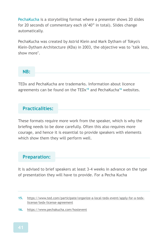PechaKucha is a storytelling format where a presenter shows 20 slides for 20 seconds of commentary each (6'40" in total). Slides change automatically.

PechaKucha was created by Astrid Klein and Mark Dytham of Tokyo's Klein-Dytham Architecture (KDa) in 2003, the objective was to "talk less, show more".

#### **NB:**

TEDx and PechaKucha are trademarks. Information about licence agreements can be found on the TEDx**<sup>15</sup>** and PechaKucha**<sup>16</sup>** websites.

## **Practicalities:**

These formats require more work from the speaker, which is why the briefing needs to be done carefully. Often this also requires more courage, and hence it is essential to provide speakers with elements which show them they will perform well.

#### **Preparation:**

It is advised to brief speakers at least 3-4 weeks in advance on the type of presentation they will have to provide. For a Pecha Kucha

**<sup>15.</sup>** https://www.ted.com/participate/organize-a-local-tedx-event/apply-for-a-tedxlicense/tedx-license-agreement

**<sup>16.</sup>** https://www.pechakucha.com/hostevent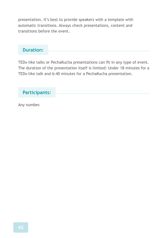presentation, it's best to provide speakers with a template with automatic transitions. Always check presentations, content and transitions before the event.

# **Duration:**

TEDx-like talks or PechaKucha presentations can fit in any type of event. The duration of the presentation itself is limited: Under 18 minutes for a TEDx-like talk and 6:40 minutes for a PechaKucha presentation.

## **Participants:**

Any number.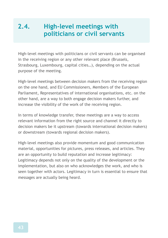# **2.4. High-level meetings with politicians or civil servants**

High-level meetings with politicians or civil servants can be organised in the receiving region or any other relevant place (Brussels, Strasbourg, Luxembourg, capital cities…), depending on the actual purpose of the meeting.

High-level meetings between decision makers from the receiving region on the one hand, and EU Commissioners, Members of the European Parliament, Representatives of international organisations, etc. on the other hand, are a way to both engage decision makers further, and increase the visibility of the work of the receiving region.

In terms of knowledge transfer, these meetings are a way to access relevant information from the right source and channel it directly to decision makers be it upstream (towards international decision makers) or downstream (towards regional decision makers).

High-level meetings also provide momentum and good communication material, opportunities for pictures, press releases, and articles. They are an opportunity to build reputation and increase legitimacy: Legitimacy depends not only on the quality of the development or the implementation, but also on who acknowledges the work, and who is seen together with actors. Legitimacy in turn is essential to ensure that messages are actually being heard.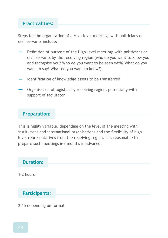## **Practicalities:**

Steps for the organisation of a High-level meetings with politicians or civil servants include:

- **‒** Definition of purpose of the High-level meetings with politicians or civil servants by the receiving region (who do you want to know you and recognise you? Who do you want to be seen with? What do you want to say? What do you want to know?).
- **‒** Identification of knowledge assets to be transferred
- **‒** Organisation of logistics by receiving region, potentially with support of facilitator

#### **Preparation:**

This is highly variable, depending on the level of the meeting with institutions and international organisations and the flexibility of highlevel representatives from the receiving region. It is reasonable to prepare such meetings 6-8 months in advance.



2-15 depending on format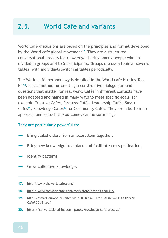# **2.5. World Café and variants**

World Café discussions are based on the principles and format developed by the World café global movement**<sup>17</sup>**. They are a structured conversational process for knowledge sharing among people who are divided in groups of 4 to 5 participants. Groups discuss a topic at several tables, with individuals switching tables periodically.

The World café methodology is detailed in the World café Hosting Tool Kit**<sup>18</sup>**. It is a method for creating a constructive dialogue around questions that matter for real work. Cafés in different contexts have been adapted and named in many ways to meet specific goals, for example Creative Cafés, Strategy Cafés, Leadership Cafés, Smart Cafés**<sup>19</sup>**, Knowledge Cafés**<sup>20</sup>**, or Community Cafés. They are a bottom-up approach and as such the outcomes can be surprising.

#### They are particularly powerful to:

- Bring stakeholders from an ecosystem together;
- Bring new knowledge to a place and facilitate cross pollination;
- **‒** Identify patterns;
- Grow collective knowledge.
- **17.** http://www.theworldcafe.com/
- **18.** http://www.theworldcafe.com/tools-store/hosting-tool-kit/
- **19.** https://smart-europe.eu/sites/default/files/2.1.%20SMART%20EUROPE%20 Cafe%CC%81.pdf
- **20.** https://conversational-leadership.net/knowledge-cafe-process/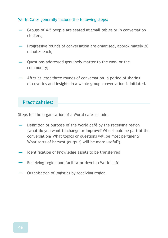#### World Cafés generally include the following steps:

- **‒** Groups of 4-5 people are seated at small tables or in conversation clusters;
- **‒** Progressive rounds of conversation are organised, approximately 20 minutes each;
- **‒** Questions addressed genuinely matter to the work or the community;
- After at least three rounds of conversation, a period of sharing discoveries and insights in a whole group conversation is initiated.

## **Practicalities:**

Steps for the organisation of a World café include:

- **‒** Definition of purpose of the World café by the receiving region (what do you want to change or improve? Who should be part of the conversation? What topics or questions will be most pertinent? What sorts of harvest (output) will be more useful?).
- **‒** Identification of knowledge assets to be transferred
- **‒** Receiving region and facilitator develop World café
- **‒** Organisation of logistics by receiving region.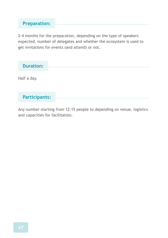# **Preparation:**

2-4 months for the preparation, depending on the type of speakers expected, number of delegates and whether the ecosystem is used to get invitations for events (and attend) or not.

Any number starting from 12-15 people to depending on venue, logistics and capacities for facilitation.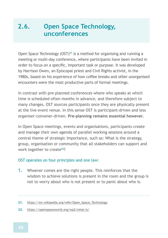# **2.6. Open Space Technology, unconferences**

Open Space Technology (OST)**<sup>21</sup>** is a method for organising and running a meeting or multi-day conference, where participants have been invited in order to focus on a specific, important task or purpose. It was developed by Harrison Owen, an Episcopal priest and Civil Rights activist, in the 1980s, based on his experience of how coffee breaks and other unorganised encounters were the most productive parts of formal meetings.

In contrast with pre-planned conferences where who speaks at which time is scheduled often months in advance, and therefore subject to many changes, OST sources participants once they are physically present at the live event venue. In this sense OST is participant-driven and less organiser-convener-driven. **Pre-planning remains essential however.**

In Open Space meetings, events and organisations, participants create and manage their own agenda of parallel working sessions around a central theme of strategic importance, such as: What is the strategy, group, organisation or community that all stakeholders can support and work together to create**<sup>22</sup>**?

#### OST operates on four principles and one law:

- 1. Whoever comes are the right people. This reinforces that the wisdom to achieve solutions is present in the room and the group is not to worry about who is not present or to panic about who is.
- **21.** https://en.wikipedia.org/wiki/Open\_Space\_Technology
- **22.** https://openspaceworld.org/wp2/what-is/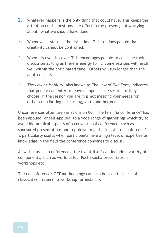- 2. Whatever happens is the only thing that could have. This keeps the attention on the best possible effort in the present, not worrying about "what we should have done".
- 3. Whenever it starts is the right time. This reminds people that creativity cannot be controlled.
- 4. When it's over, it's over. This encourages people to continue their discussion as long as there is energy for it. Some sessions will finish well within the anticipated time. Others will run longer than the allotted time.
- **‒** *The Law of Mobility*, also known as The Law of Two Feet, indicates that people can enter or leave an open space session as they choose. If the session you are in is not meeting your needs for either contributing or learning, go to another one.

Unconferences often use variations on OST. The term "unconference" has been applied, or self-applied, to a wide range of gatherings which try to avoid hierarchical aspects of a conventional conference, such as sponsored presentations and top-down organisation. An "unconference" is particularly useful when participants have a high level of expertise or knowledge in the field the conference convenes to discuss.

As with classical conferences, the event itself can include a variety of components, such as world cafés, PechaKucha presentations, workshops etc

The unconference/ OST methodology can also be used for parts of a classical conference, a workshop for instance.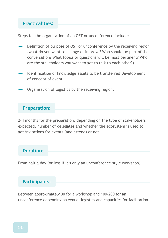#### **Practicalities:**

Steps for the organisation of an OST or unconference include:

- **‒** Definition of purpose of OST or unconference by the receiving region (what do you want to change or improve? Who should be part of the conversation? What topics or questions will be most pertinent? Who are the stakeholders you want to get to talk to each other?).
- **‒** Identification of knowledge assets to be transferred Development of concept of event
- **‒** Organisation of logistics by the receiving region.

#### **Preparation:**

2-4 months for the preparation, depending on the type of stakeholders expected, number of delegates and whether the ecosystem is used to get invitations for events (and attend) or not.

#### **Duration:**

From half a day (or less if it's only an unconference-style workshop).

## **Participants:**

Between approximately 30 for a workshop and 100-200 for an unconference depending on venue, logistics and capacities for facilitation.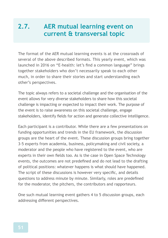# **2.7. AER mutual learning event on current & transversal topic**

The format of the AER mutual learning events is at the crossroads of several of the above described formats. This yearly event, which was launched in 2016 on "E-health: let's find a common language" brings together stakeholders who don't necessarily speak to each other much, in order to share their stories and start understanding each other's perspectives.

The topic always refers to a societal challenge and the organisation of the event allows for very diverse stakeholders to share how this societal challenge is impacting or expected to impact their work. The purpose of the event is to raise awareness on this societal challenge, engage stakeholders, identify fields for action and generate collective intelligence.

Each participant is a contributor. While there are a few presentations on funding opportunities and trends in the EU framework, the discussion groups are the heart of the event. These discussion groups bring together 3-5 experts from academia, business, policymaking and civil society, a moderator and the people who have registered to the event, who are experts in their own fields too. As is the case in Open Space Technology events, the outcomes are not predefined and do not lead to the drafting of political positions: whatever happens is what should have happened. The script of these discussions is however very specific, and details questions to address minute by minute. Similarly, roles are predefined for the moderator, the pitchers, the contributors and rapporteurs.

One such mutual learning event gathers 4 to 5 discussion groups, each addressing different perspectives.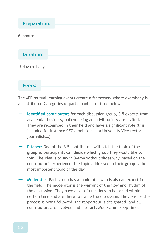**Preparation:**

6 months

**Duration:**

 $\frac{1}{2}$  day to 1 day

**Peers:**

The AER mutual learning events create a framework where everybody is a contributor. Categories of participants are listed below:

- **‒ Identified contributor:** for each discussion group, 3-5 experts from academia, business, policymaking and civil society are invited. They are recognised in their field and have a significant role (this included for instance CEOs, politicians, a University Vice rector, journalists…)
- **Pitcher:** One of the 3-5 contributors will pitch the topic of the group so participants can decide which group they would like to join. The idea is to say in 3-4mn without slides why, based on the contributor's experience, the topic addressed in their group is the most important topic of the day
- **Moderator:** Each group has a moderator who is also an expert in the field. The moderator is the warrant of the flow and rhythm of the discussion. They have a set of questions to be asked within a certain time and are there to frame the discussion. They ensure the process is being followed, the rapporteur is designated, and all contributors are involved and interact. Moderators keep time.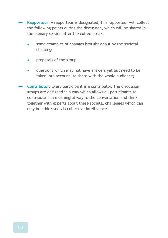**‒ Rapporteur:** A rapporteur is designated, this rapporteur will collect the following points during the discussion, which will be shared in the plenary session after the coffee break:

- **•** some examples of changes brought about by the societal challenge
- **•** proposals of the group
- **•** questions which may not have answers yet but need to be taken into account (to share with the whole audience)
- **‒ Contributor:** Every participant is a contributor. The discussion groups are designed in a way which allows all participants to contribute in a meaningful way to the conversation and think together with experts about these societal challenges which can only be addressed via collective intelligence.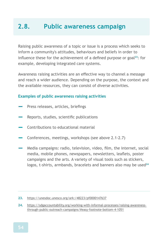# **2.8. Public awareness campaign**

Raising public awareness of a topic or issue is a process which seeks to inform a community's attitudes, behaviours and beliefs in order to influence these for the achievement of a defined purpose or goal**<sup>23</sup>**: for example, developing integrated care systems.

Awareness raising activities are an effective way to channel a message and reach a wider audience. Depending on the purpose, the context and the available resources, they can consist of diverse activities.

#### **Examples of public awareness raising activities**

- **‒** Press releases, articles, briefings
- **‒** Reports, studies, scientific publications
- **‒** Contributions to educational material
- **‒** Conferences, meetings, workshops (see above 2.1-2.7)
- **‒** Media campaigns: radio, television, video, film, the internet, social media, mobile phones, newspapers, newsletters, leaflets, poster campaigns and the arts. A variety of visual tools such as stickers, logos, t-shirts, armbands, bracelets and banners also may be used**<sup>24</sup>**

**<sup>23.</sup>** https://unesdoc.unesco.org/ark:/48223/pf0000147637

**<sup>24.</sup>** https://sdgaccountability.org/working-with-informal-processes/raising-awarenessthrough-public-outreach-campaigns/#easy-footnote-bottom-4-1051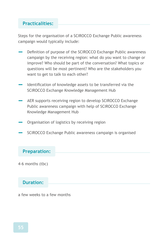## **Practicalities:**

Steps for the organisation of a SCIROCCO Exchange Public awareness campaign would typically include:

- **‒** Definition of purpose of the SCIROCCO Exchange Public awareness campaign by the receiving region: what do you want to change or improve? Who should be part of the conversation? What topics or questions will be most pertinent? Who are the stakeholders you want to get to talk to each other?
- **‒** Identification of knowledge assets to be transferred via the SCIROCCO Exchange Knowledge Management Hub
- AER supports receiving region to develop SCIROCCO Exchange Public awareness campaign with help of SCIROCCO Exchange Knowledge Management Hub
- **‒** Organisation of logistics by receiving region
- **‒** SCIROCCO Exchange Public awareness campaign is organised

#### **Preparation:**

4-6 months (tbc)

#### **Duration:**

a few weeks to a few months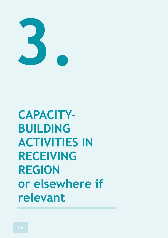

**CAPACITY-BUILDING ACTIVITIES IN RECEIVING REGION or elsewhere if relevant**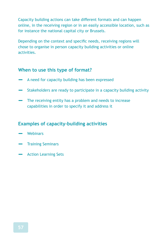Capacity building actions can take different formats and can happen online, in the receiving region or in an easily accessible location, such as for instance the national capital city or Brussels.

Depending on the context and specific needs, receiving regions will chose to organise in person capacity building activities or online activities.

#### **When to use this type of format?**

- **‒** A need for capacity building has been expressed
- **‒** Stakeholders are ready to participate in a capacity building activity
- **‒** The receiving entity has a problem and needs to increase capabilities in order to specify it and address it

## **Examples of capacity-building activities**

- **‒** Webinars
- **‒** Training Seminars
- **‒** Action Learning Sets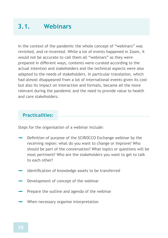# **3.1. Webinars**

In the context of the pandemic the whole concept of "webinars" was revisited, and re-invented. While a lot of events happened in Zoom, it would not be accurate to call them all "webinars" as they were prepared in different ways, contents were curated according to the actual intention and stakeholders and the technical aspects were also adapted to the needs of stakeholders. In particular translation, which had almost disappeared from a lot of international events given its cost but also its impact on interaction and formats, became all the more relevant during the pandemic and the need to provide value to health and care stakeholders.

## **Practicalities:**

Steps for the organisation of a webinar include:

- **‒** Definition of purpose of the SCIROCCO Exchange webinar by the receiving region: what do you want to change or improve? Who should be part of the conversation? What topics or questions will be most pertinent? Who are the stakeholders you want to get to talk to each other?
- **‒** Identification of knowledge assets to be transferred
- **‒** Development of concept of the webinar
- Prepare the outline and agenda of the webinar
- **‒** When necessary organise interpretation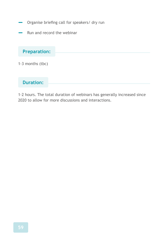- **‒** Organise briefing call for speakers/ dry run
- **‒** Run and record the webinar

## **Preparation:**

1-3 months (tbc)

## **Duration:**

1-2 hours. The total duration of webinars has generally increased since 2020 to allow for more discussions and interactions.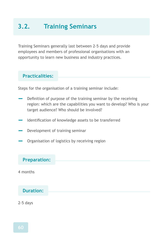# **3.2. Training Seminars**

Training Seminars generally last between 2-5 days and provide employees and members of professional organisations with an opportunity to learn new business and industry practices.

## **Practicalities:**

Steps for the organisation of a training seminar include:

- **‒** Definition of purpose of the training seminar by the receiving region: which are the capabilities you want to develop? Who is your target audience? Who should be involved?
- **‒** Identification of knowledge assets to be transferred
- **‒** Development of training seminar
- **‒** Organisation of logistics by receiving region

#### **Preparation:**

4 months

## **Duration:**

2-5 days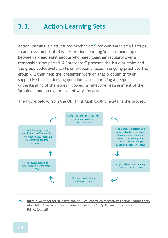# **3.3. Action Learning Sets**

Action learning is a structured mechanism**<sup>25</sup>** for working in small groups to address complicated issues. Action Learning Sets are made up of between six and eight people who meet together regularly over a reasonable time period. A "presenter" presents the issue at stake and the group collectively works on problems faced in ongoing practice. The group will then help the 'presenter' work on that problem through supportive but challenging questioning: encouraging a deeper understanding of the issues involved, a reflective reassessment of the 'problem', and an exploration of ways forward.

The figure below, from the ODI think tank toolkit, explains the process:



**25.** https://www.odi.org/publications/5230-colloboration-mechanisms-action-learning-sets Also: http://www.fao.org/elearning/course/FK/en/pdf/trainerresources/ PG\_ALSets.pdf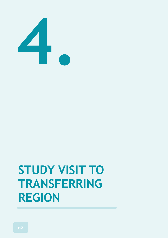

# **STUDY VISIT TO TRANSFERRING REGION**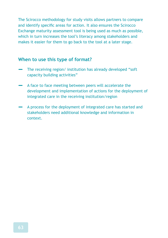The Scirocco methodology for study visits allows partners to compare and identify specific areas for action. It also ensures the Scirocco Exchange maturity assessment tool is being used as much as possible, which in turn increases the tool's literacy among stakeholders and makes it easier for them to go back to the tool at a later stage.

#### **When to use this type of format?**

- **‒** The receiving region/ institution has already developed "soft capacity building activities"
- **‒** A face to face meeting between peers will accelerate the development and implementation of actions for the deployment of integrated care in the receiving institution/region
- **‒** A process for the deployment of integrated care has started and stakeholders need additional knowledge and information in context.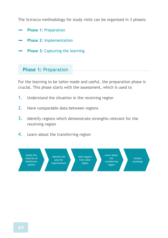The Scirocco methodology for study visits can be organised in 3 phases:

- **‒ Phase 1:** Preparation
- **‒ Phase 2:** Implementation
- **Phase 3: Capturing the learning**

#### **Phase 1:** Preparation

For the learning to be tailor-made and useful, the preparation phase is crucial. This phase starts with the assessment, which is used to

- 1. Understand the situation in the receiving region
- 2. Have comparable data between regions
- 3. Identify regions which demonstrate strengths relevant for the receiving region
- 4. Learn about the transferring region

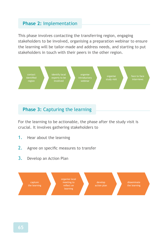## **Phase 2:** Implementation

This phase involves contacting the transferring region, engaging stakeholders to be involved, organising a preparation webinar to ensure the learning will be tailor-made and address needs, and starting to put stakeholders in touch with their peers in the other region.



## **Phase 3:** Capturing the learning

For the learning to be actionable, the phase after the study visit is crucial. It involves gathering stakeholders to

- 1. Hear about the learning
- 2. Agree on specific measures to transfer
- 3. Develop an Action Plan

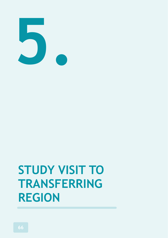

# **STUDY VISIT TO TRANSFERRING REGION**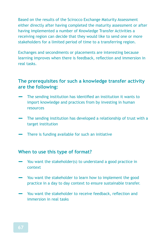Based on the results of the Scirocco Exchange Maturity Assessment either directly after having completed the maturity assessment or after having implemented a number of Knowledge Transfer Activities a receiving region can decide that they would like to send one or more stakeholders for a limited period of time to a transferring region.

Exchanges and secondments or placements are interesting because learning improves when there is feedback, reflection and immersion in real tasks.

#### **The prerequisites for such a knowledge transfer activity are the following:**

- **‒** The sending institution has identified an institution it wants to import knowledge and practices from by investing in human resources
- **‒** The sending institution has developed a relationship of trust with a target institution
- **‒** There is funding available for such an initiative

#### **When to use this type of format?**

- **‒** You want the stakeholder(s) to understand a good practice in context
- **‒** You want the stakeholder to learn how to implement the good practice in a day to day context to ensure sustainable transfer.
- **‒** You want the stakeholder to receive feedback, reflection and immersion in real tasks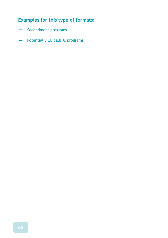## **Examples for this type of formats:**

- **‒** Secondment programs
- **‒** Potentially EU calls & programs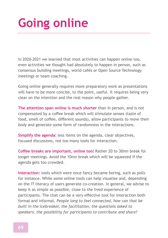## **Going online**

In 2020-2021 we learned that most activities can happen online too, even activities we thought had absolutely to happen in person, such as consensus building meetings, world cafés or Open Source Technology meetings or team coaching.

Going online generally requires more preparatory work as presentations will have to be more concise, to the point, useful. It requires being very clear on the intention and the real reason why people gather.

**The attention span online is much shorter** than in person, and is not compensated by a coffee break which will stimulate senses (taste of food, smell of coffee, different sounds), allow participants to move their body and generate some form of randomness in the interactions.

**Simplify the agenda:** less items on the agenda, clear objectives, focused discussions, not too many tools for interaction.

**Coffee breaks are important, online too!** Rather 20 to 30mn break for longer meetings. Avoid the 10mn break which will be squeezed if the agenda gets too crowded.

**Interaction:** tools which were once fancy became boring, such as polls for instance. While some online tools can help visualise and, depending on the IT literacy of users generate co-creation. In general, we advise to keep it as simple as possible, close to the lived experience of participants. The chat can be a very effective tool for interaction both formal and informal. *People long to feel connected, how can that be built in the icebreaker, the facilitation, the questions asked to speakers, the possibility for participants to contribute and share?*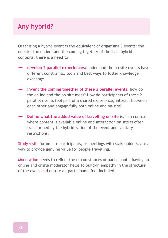## **Any hybrid?**

Organising a hybrid event is the equivalent of organising 3 events: the on-site, the online, and the coming together of the 2. In hybrid contexts, there is a need to

- **‒ develop 2 parallel experiences:** online and the on-site events have different constraints, tools and best ways to foster knowledge exchange.
- **invent the coming together of these 2 parallel events:** how do the online and the on-site meet? How do participants of these 2 parallel events feel part of a shared experience, interact between each other and engage fully both online and on-site?
- **Define what the added value of travelling on site** is, in a context where content is available online and interaction on site is often transformed by the hybridization of the event and sanitary restrictions.

Study visits for on-site participants, or meetings with stakeholders, are a way to provide genuine value for people travelling.

Moderation needs to reflect the circumstances of participants: having an online and onsite moderator helps to build-in empathy in the structure of the event and ensure all participants feel included.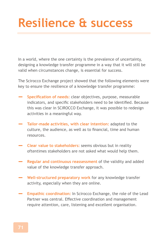## **Resilience & success**

In a world, where the one certainty is the prevalence of uncertainty, designing a knowledge transfer programme in a way that it will still be valid when circumstances change, is essential for success.

The Scirocco Exchange project showed that the following elements were key to ensure the resilience of a knowledge transfer programme:

- **‒ Specification of needs:** clear objectives, purpose, measurable indicators, and specific stakeholders need to be identified. Because this was clear in SCIROCCO Exchange, it was possible to redesign activities in a meaningful way.
- **‒ Tailor-made activities, with clear intention:** adapted to the culture, the audience, as well as to financial, time and human resources.
- **‒ Clear value to stakeholders:** seems obvious but in reality oftentimes stakeholders are not asked what would help them.
- **‒ Regular and continuous reassessment** of the validity and added value of the knowledge transfer approach.
- **‒ Well-structured preparatory work** for any knowledge transfer activity, especially when they are online.
- **Empathic coordination:** In Scirocco Exchange, the role of the Lead Partner was central. Effective coordination and management require attention, care, listening and excellent organisation.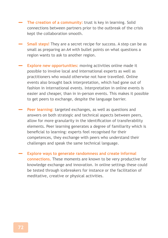- **The creation of a community:** trust is key in learning. Solid connections between partners prior to the outbreak of the crisis kept the collaboration smooth.
- **‒ Small steps!** They are a secret recipe for success. A step can be as small as preparing an A4 with bullet points on what questions a region wants to ask to another region.
- **Explore new opportunities:** moving activities online made it possible to involve local and international experts as well as practitioners who would otherwise not have travelled. Online events also brought back interpretation, which had gone out of fashion in international events. Interpretation in online events is easier and cheaper, than in in-person events. This makes it possible to get peers to exchange, despite the language barrier.
- **‒ Peer learning:** targeted exchanges, as well as questions and answers on both strategic and technical aspects between peers, allow for more granularity in the identification of transferability elements. Peer learning generates a degree of familiarity which is beneficial to learning: experts feel recognised for their competences, they exchange with peers who understand their challenges and speak the same technical language.
- **‒ Explore ways to generate randomness and create informal connections.** These moments are known to be very productive for knowledge exchange and innovation. In online settings these could be tested through icebreakers for instance or the facilitation of meditative, creative or physical activities.